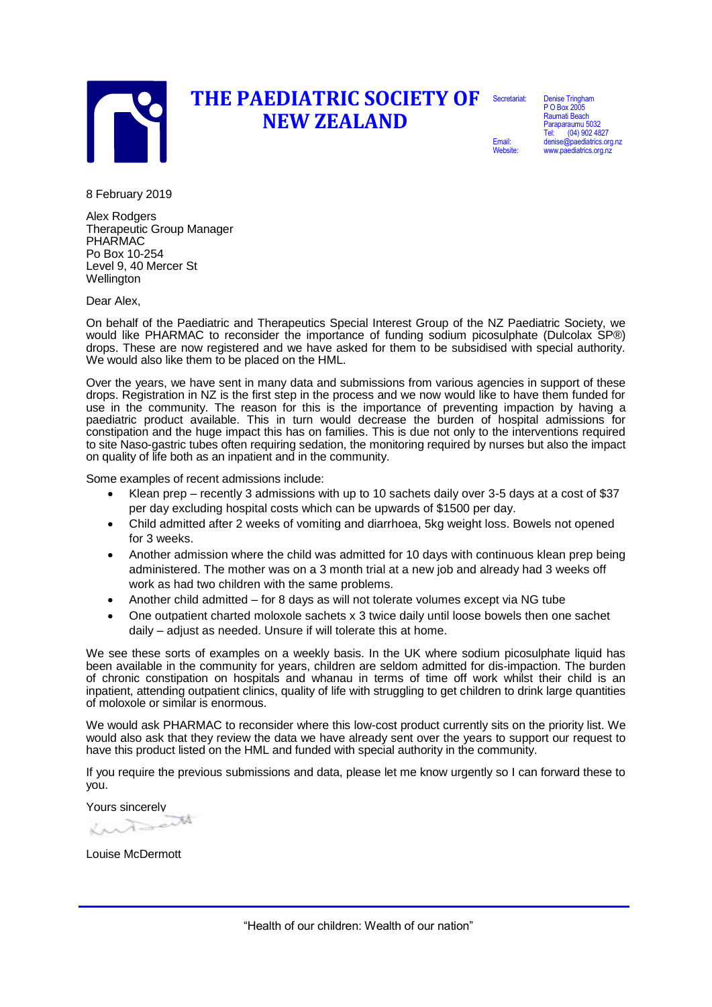

## **THE PAEDIATRIC SOCIETY OF NEW ZEALAND** Secretariat:

Denise Tringham P O Box 2005 Raumati Beach Paraparaumu 5032 Tel: (04) 902 4827 denise@paediatrics.org.nz www.paediatrics.org.nz

Email: Website:

8 February 2019

Alex Rodgers Therapeutic Group Manager PHARMAC Po Box 10-254 Level 9, 40 Mercer St Wellington

Dear Alex,

On behalf of the Paediatric and Therapeutics Special Interest Group of the NZ Paediatric Society, we would like PHARMAC to reconsider the importance of funding sodium picosulphate (Dulcolax SP®) drops. These are now registered and we have asked for them to be subsidised with special authority. We would also like them to be placed on the HML.

Over the years, we have sent in many data and submissions from various agencies in support of these drops. Registration in NZ is the first step in the process and we now would like to have them funded for use in the community. The reason for this is the importance of preventing impaction by having a paediatric product available. This in turn would decrease the burden of hospital admissions for constipation and the huge impact this has on families. This is due not only to the interventions required to site Naso-gastric tubes often requiring sedation, the monitoring required by nurses but also the impact on quality of life both as an inpatient and in the community.

Some examples of recent admissions include:

- Klean prep recently 3 admissions with up to 10 sachets daily over 3-5 days at a cost of \$37 per day excluding hospital costs which can be upwards of \$1500 per day.
- Child admitted after 2 weeks of vomiting and diarrhoea, 5kg weight loss. Bowels not opened for 3 weeks.
- Another admission where the child was admitted for 10 days with continuous klean prep being administered. The mother was on a 3 month trial at a new job and already had 3 weeks off work as had two children with the same problems.
- Another child admitted for 8 days as will not tolerate volumes except via NG tube
- One outpatient charted moloxole sachets x 3 twice daily until loose bowels then one sachet daily – adjust as needed. Unsure if will tolerate this at home.

We see these sorts of examples on a weekly basis. In the UK where sodium picosulphate liquid has been available in the community for years, children are seldom admitted for dis-impaction. The burden of chronic constipation on hospitals and whanau in terms of time off work whilst their child is an inpatient, attending outpatient clinics, quality of life with struggling to get children to drink large quantities of moloxole or similar is enormous.

We would ask PHARMAC to reconsider where this low-cost product currently sits on the priority list. We would also ask that they review the data we have already sent over the years to support our request to have this product listed on the HML and funded with special authority in the community.

If you require the previous submissions and data, please let me know urgently so I can forward these to you.

Yours sincerely

Louise McDermott